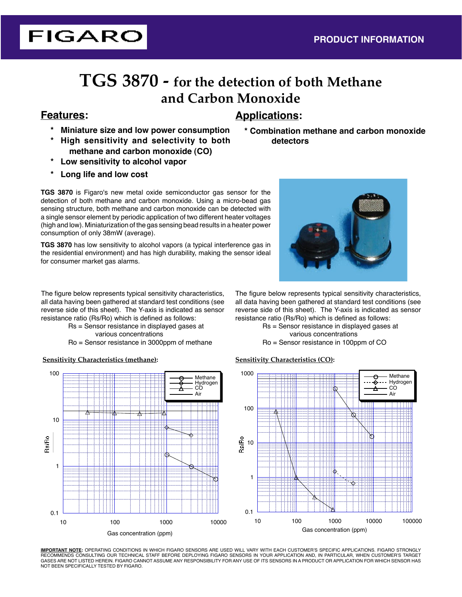# **TGS 3870 - for the detection of both Methane and Carbon Monoxide**

**FIGARO** 

- **Features: Applications:**
	- **\* Miniature size and low power consumption**
	- **\* High sensitivity and selectivity to both methane and carbon monoxide (CO)**
	- **\* Low sensitivity to alcohol vapor**
	- **\* Long life and low cost**

**TGS 3870** is Figaro's new metal oxide semiconductor gas sensor for the detection of both methane and carbon monoxide. Using a micro-bead gas sensing structure, both methane and carbon monoxide can be detected with a single sensor element by periodic application of two different heater voltages (high and low). Miniaturization of the gas sensing bead results in a heater power consumption of only 38mW (average).

**TGS 3870** has low sensitivity to alcohol vapors (a typical interference gas in the residential environment) and has high durability, making the sensor ideal for consumer market gas alarms.

The figure below represents typical sensitivity characteristics, all data having been gathered at standard test conditions (see reverse side of this sheet). The Y-axis is indicated as sensor resistance ratio (Rs/Ro) which is defined as follows:

 Rs = Sensor resistance in displayed gases at various concentrations

Ro = Sensor resistance in 3000ppm of methane

**Sensitivity Characteristics (methane):**



## **\* Combination methane and carbon monoxide detectors**



The figure below represents typical sensitivity characteristics, all data having been gathered at standard test conditions (see reverse side of this sheet). The Y-axis is indicated as sensor resistance ratio (Rs/Ro) which is defined as follows:

> Rs = Sensor resistance in displayed gases at various concentrations Ro = Sensor resistance in 100ppm of CO

### **Sensitivity Characteristics (CO):**



**IMPORTANT NOTE:** OPERATING CONDITIONS IN WHICH FIGARO SENSORS ARE USED WILL VARY WITH EACH CUSTOMER'S SPECIFIC APPLICATIONS. FIGARO STRONGLY RECOMMENDS CONSULTING OUR TECHNICAL STAFF BEFORE DEPLOYING FIGARO SENSORS IN YOUR APPLICATION AND, IN PARTICULAR, WHEN CUSTOMER'S TARGET GASES ARE NOT LISTED HEREIN. FIGARO CANNOT ASSUME ANY RESPONSIBILITY FOR ANY USE OF ITS SENSORS IN A PRODUCT OR APPLICATION FOR WHICH SENSOR HAS NOT BEEN SPECIFICALLY TESTED BY FIGARO.